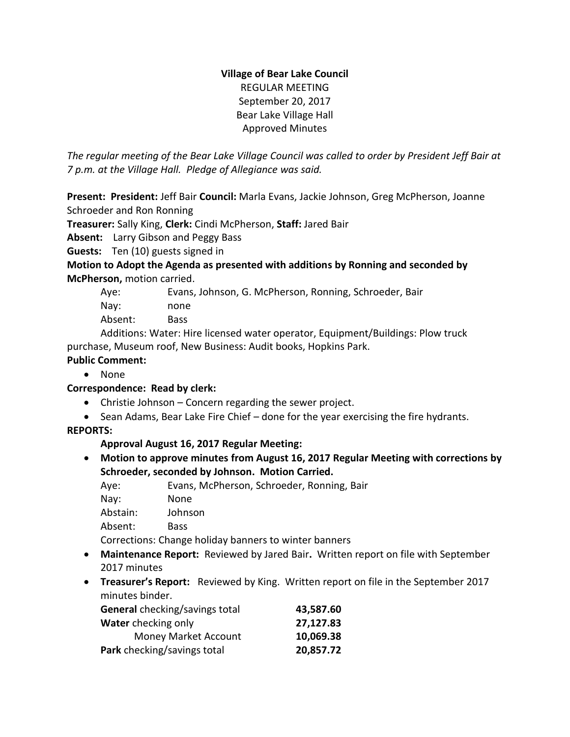## **Village of Bear Lake Council** REGULAR MEETING September 20, 2017 Bear Lake Village Hall Approved Minutes

*The regular meeting of the Bear Lake Village Council was called to order by President Jeff Bair at 7 p.m. at the Village Hall. Pledge of Allegiance was said.*

**Present: President:** Jeff Bair **Council:** Marla Evans, Jackie Johnson, Greg McPherson, Joanne Schroeder and Ron Ronning

**Treasurer:** Sally King, **Clerk:** Cindi McPherson, **Staff:** Jared Bair

**Absent:** Larry Gibson and Peggy Bass

**Guests:** Ten (10) guests signed in

**Motion to Adopt the Agenda as presented with additions by Ronning and seconded by McPherson,** motion carried.

- Aye: Evans, Johnson, G. McPherson, Ronning, Schroeder, Bair
- Nay: none
- Absent: Bass

Additions: Water: Hire licensed water operator, Equipment/Buildings: Plow truck purchase, Museum roof, New Business: Audit books, Hopkins Park.

# **Public Comment:**

• None

# **Correspondence: Read by clerk:**

- Christie Johnson Concern regarding the sewer project.
- Sean Adams, Bear Lake Fire Chief done for the year exercising the fire hydrants.

# **REPORTS:**

**Approval August 16, 2017 Regular Meeting:** 

 **Motion to approve minutes from August 16, 2017 Regular Meeting with corrections by Schroeder, seconded by Johnson. Motion Carried.**

| Aye:     | Evans, McPherson, Schroeder, Ronning, Bair            |
|----------|-------------------------------------------------------|
| Nay:     | None                                                  |
| Abstain: | Johnson                                               |
| Absent:  | Bass                                                  |
|          | Corrections: Change holiday banners to winter banners |

- **Maintenance Report:** Reviewed by Jared Bair**.** Written report on file with September 2017 minutes
- **Treasurer's Report:** Reviewed by King. Written report on file in the September 2017 minutes binder.

| <b>General</b> checking/savings total | 43,587.60 |
|---------------------------------------|-----------|
| Water checking only                   | 27,127.83 |
| <b>Money Market Account</b>           | 10,069.38 |
| Park checking/savings total           | 20,857.72 |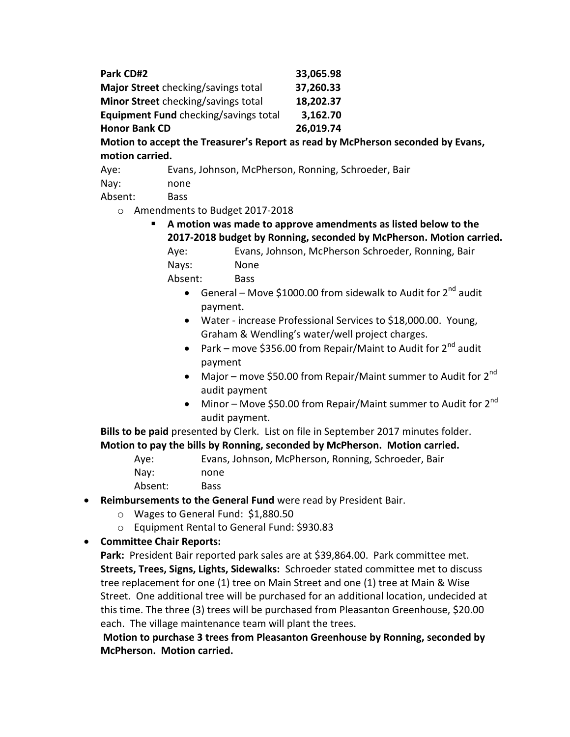| Park CD#2                             | 33,065.98 |
|---------------------------------------|-----------|
| Major Street checking/savings total   | 37,260.33 |
| Minor Street checking/savings total   | 18,202.37 |
| Equipment Fund checking/savings total | 3,162.70  |
| <b>Honor Bank CD</b>                  | 26,019.74 |

**Motion to accept the Treasurer's Report as read by McPherson seconded by Evans, motion carried.**

Aye: Evans, Johnson, McPherson, Ronning, Schroeder, Bair

Nay: none

Absent: Bass

o Amendments to Budget 2017-2018

 **A motion was made to approve amendments as listed below to the 2017-2018 budget by Ronning, seconded by McPherson. Motion carried.** Aye: Evans, Johnson, McPherson Schroeder, Ronning, Bair

Nays: None

Absent: Bass

- General Move \$1000.00 from sidewalk to Audit for  $2^{nd}$  audit payment.
- Water increase Professional Services to \$18,000.00. Young, Graham & Wendling's water/well project charges.
- Park move \$356.00 from Repair/Maint to Audit for  $2^{nd}$  audit payment
- Major move \$50.00 from Repair/Maint summer to Audit for  $2^{nd}$ audit payment
- Minor Move \$50.00 from Repair/Maint summer to Audit for  $2^{nd}$ audit payment.

**Bills to be paid** presented by Clerk. List on file in September 2017 minutes folder. **Motion to pay the bills by Ronning, seconded by McPherson. Motion carried.**

- Aye: Evans, Johnson, McPherson, Ronning, Schroeder, Bair Nay: none
- Absent: Bass
- **Reimbursements to the General Fund** were read by President Bair.
	- o Wages to General Fund: \$1,880.50
	- o Equipment Rental to General Fund: \$930.83
- **Committee Chair Reports:**

**Park:** President Bair reported park sales are at \$39,864.00. Park committee met. **Streets, Trees, Signs, Lights, Sidewalks:** Schroeder stated committee met to discuss tree replacement for one (1) tree on Main Street and one (1) tree at Main & Wise Street. One additional tree will be purchased for an additional location, undecided at this time. The three (3) trees will be purchased from Pleasanton Greenhouse, \$20.00 each. The village maintenance team will plant the trees.

**Motion to purchase 3 trees from Pleasanton Greenhouse by Ronning, seconded by McPherson. Motion carried.**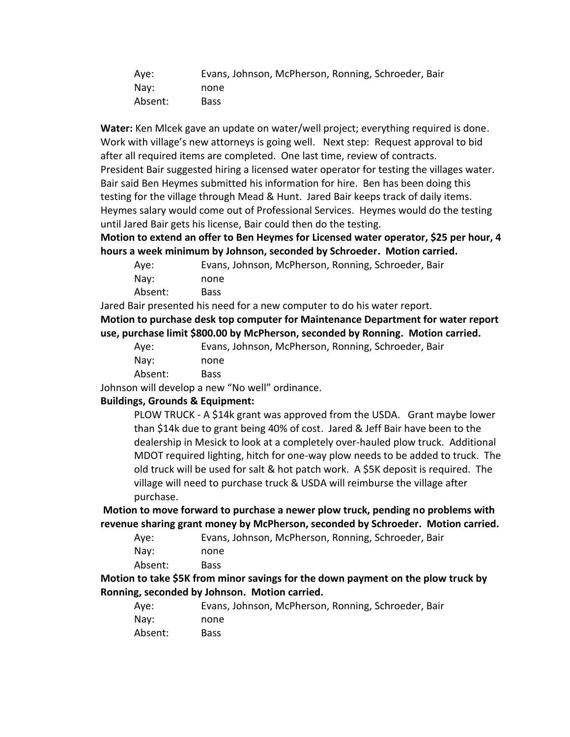| Aye:    | Evans, Johnson, McPherson, Ronning, Schroeder, Bair |
|---------|-----------------------------------------------------|
| Nav:    | none                                                |
| Absent: | <b>Bass</b>                                         |

**Water:** Ken Mlcek gave an update on water/well project; everything required is done. Work with village's new attorneys is going well. Next step: Request approval to bid after all required items are completed. One last time, review of contracts. President Bair suggested hiring a licensed water operator for testing the villages water. Bair said Ben Heymes submitted his information for hire. Ben has been doing this testing for the village through Mead & Hunt. Jared Bair keeps track of daily items. Heymes salary would come out of Professional Services. Heymes would do the testing until Jared Bair gets his license, Bair could then do the testing.

**Motion to extend an offer to Ben Heymes for Licensed water operator, \$25 per hour, 4 hours a week minimum by Johnson, seconded by Schroeder. Motion carried.**

| Aye:    | Evans, Johnson, McPherson, Ronning, Schroeder, Bair |
|---------|-----------------------------------------------------|
| Nav:    | none                                                |
| Absent: | <b>Bass</b>                                         |

Jared Bair presented his need for a new computer to do his water report.

**Motion to purchase desk top computer for Maintenance Department for water report use, purchase limit \$800.00 by McPherson, seconded by Ronning. Motion carried.**

| Aye:    | Evans, Johnson, McPherson, Ronning, Schroeder, Bair |
|---------|-----------------------------------------------------|
| Nay:    | none                                                |
| Absent: | Bass                                                |

Johnson will develop a new "No well" ordinance.

#### **Buildings, Grounds & Equipment:**

PLOW TRUCK - A \$14k grant was approved from the USDA. Grant maybe lower than \$14k due to grant being 40% of cost. Jared & Jeff Bair have been to the dealership in Mesick to look at a completely over-hauled plow truck. Additional MDOT required lighting, hitch for one-way plow needs to be added to truck. The old truck will be used for salt & hot patch work. A \$5K deposit is required. The village will need to purchase truck & USDA will reimburse the village after purchase.

**Motion to move forward to purchase a newer plow truck, pending no problems with revenue sharing grant money by McPherson, seconded by Schroeder. Motion carried.**

| Aye: | Evans, Johnson, McPherson, Ronning, Schroeder, Bair |
|------|-----------------------------------------------------|
| Nay: | none                                                |

**Motion to take \$5K from minor savings for the down payment on the plow truck by Ronning, seconded by Johnson. Motion carried.**

| Ave:    | Evans, Johnson, McPherson, Ronning, Schroeder, Bair |
|---------|-----------------------------------------------------|
| Nav:    | none                                                |
| Absent: | Bass                                                |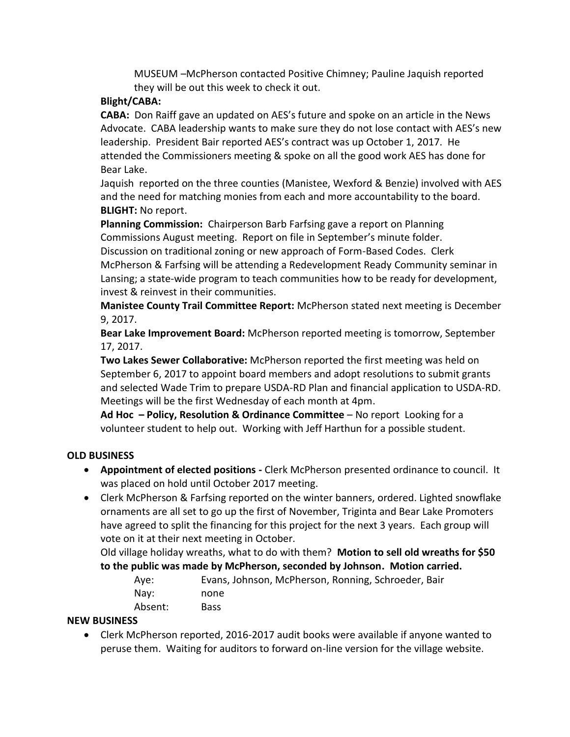MUSEUM –McPherson contacted Positive Chimney; Pauline Jaquish reported they will be out this week to check it out.

## **Blight/CABA:**

**CABA:** Don Raiff gave an updated on AES's future and spoke on an article in the News Advocate. CABA leadership wants to make sure they do not lose contact with AES's new leadership. President Bair reported AES's contract was up October 1, 2017. He attended the Commissioners meeting & spoke on all the good work AES has done for Bear Lake.

Jaquish reported on the three counties (Manistee, Wexford & Benzie) involved with AES and the need for matching monies from each and more accountability to the board. **BLIGHT:** No report.

**Planning Commission:** Chairperson Barb Farfsing gave a report on Planning Commissions August meeting. Report on file in September's minute folder. Discussion on traditional zoning or new approach of Form-Based Codes. Clerk McPherson & Farfsing will be attending a Redevelopment Ready Community seminar in Lansing; a state-wide program to teach communities how to be ready for development, invest & reinvest in their communities.

**Manistee County Trail Committee Report:** McPherson stated next meeting is December 9, 2017.

**Bear Lake Improvement Board:** McPherson reported meeting is tomorrow, September 17, 2017.

**Two Lakes Sewer Collaborative:** McPherson reported the first meeting was held on September 6, 2017 to appoint board members and adopt resolutions to submit grants and selected Wade Trim to prepare USDA-RD Plan and financial application to USDA-RD. Meetings will be the first Wednesday of each month at 4pm.

**Ad Hoc – Policy, Resolution & Ordinance Committee** – No report Looking for a volunteer student to help out. Working with Jeff Harthun for a possible student.

## **OLD BUSINESS**

- **Appointment of elected positions -** Clerk McPherson presented ordinance to council. It was placed on hold until October 2017 meeting.
- Clerk McPherson & Farfsing reported on the winter banners, ordered. Lighted snowflake ornaments are all set to go up the first of November, Triginta and Bear Lake Promoters have agreed to split the financing for this project for the next 3 years. Each group will vote on it at their next meeting in October.

Old village holiday wreaths, what to do with them? **Motion to sell old wreaths for \$50 to the public was made by McPherson, seconded by Johnson. Motion carried.**

| Ave:    | Evans, Johnson, McPherson, Ronning, Schroeder, Bair |
|---------|-----------------------------------------------------|
| Nav:    | none                                                |
| Absent: | Bass                                                |

## **NEW BUSINESS**

 Clerk McPherson reported, 2016-2017 audit books were available if anyone wanted to peruse them. Waiting for auditors to forward on-line version for the village website.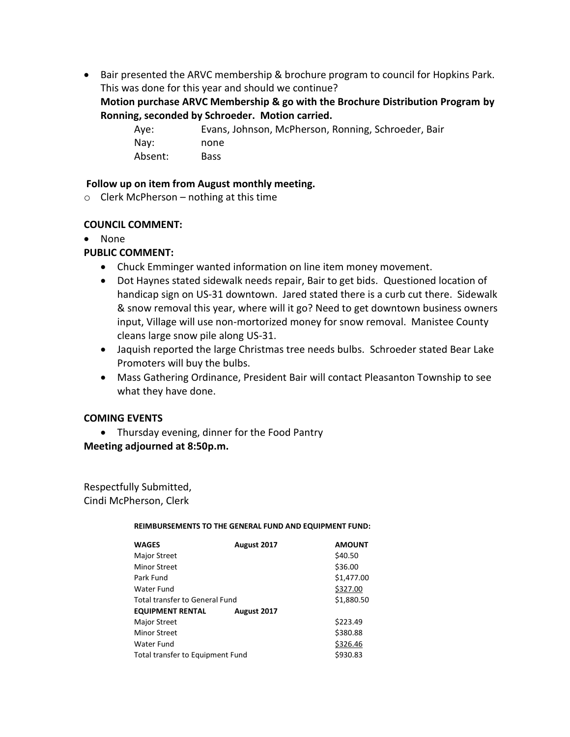Bair presented the ARVC membership & brochure program to council for Hopkins Park. This was done for this year and should we continue?

### **Motion purchase ARVC Membership & go with the Brochure Distribution Program by Ronning, seconded by Schroeder. Motion carried.**

Aye: Evans, Johnson, McPherson, Ronning, Schroeder, Bair Nay: none Absent: Bass

#### **Follow up on item from August monthly meeting.**

 $\circ$  Clerk McPherson – nothing at this time

### **COUNCIL COMMENT:**

None

## **PUBLIC COMMENT:**

- Chuck Emminger wanted information on line item money movement.
- Dot Haynes stated sidewalk needs repair, Bair to get bids. Questioned location of handicap sign on US-31 downtown. Jared stated there is a curb cut there. Sidewalk & snow removal this year, where will it go? Need to get downtown business owners input, Village will use non-mortorized money for snow removal. Manistee County cleans large snow pile along US-31.
- Jaquish reported the large Christmas tree needs bulbs. Schroeder stated Bear Lake Promoters will buy the bulbs.
- Mass Gathering Ordinance, President Bair will contact Pleasanton Township to see what they have done.

#### **COMING EVENTS**

Thursday evening, dinner for the Food Pantry

**Meeting adjourned at 8:50p.m.**

Respectfully Submitted, Cindi McPherson, Clerk

#### **REIMBURSEMENTS TO THE GENERAL FUND AND EQUIPMENT FUND:**

| <b>WAGES</b>                     | August 2017 | <b>AMOUNT</b> |
|----------------------------------|-------------|---------------|
| <b>Major Street</b>              |             | \$40.50       |
| Minor Street                     |             | \$36.00       |
| Park Fund                        |             | \$1,477.00    |
| Water Fund                       |             | \$327.00      |
| Total transfer to General Fund   |             | \$1,880.50    |
| <b>EQUIPMENT RENTAL</b>          | August 2017 |               |
| Major Street                     |             | \$223.49      |
| Minor Street                     |             | \$380.88      |
| Water Fund                       |             | \$326.46      |
| Total transfer to Equipment Fund |             | \$930.83      |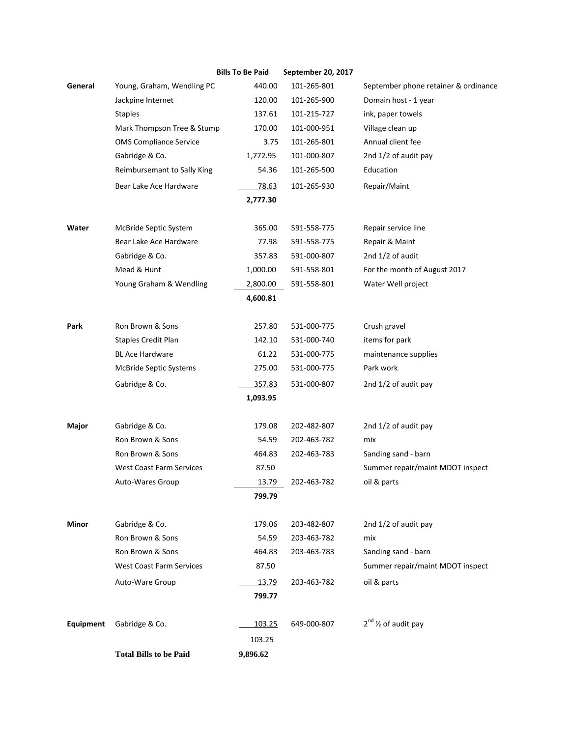|           |                                 | <b>Bills To Be Paid</b> | September 20, 2017 |                                      |
|-----------|---------------------------------|-------------------------|--------------------|--------------------------------------|
| General   | Young, Graham, Wendling PC      | 440.00                  | 101-265-801        | September phone retainer & ordinance |
|           | Jackpine Internet               | 120.00                  | 101-265-900        | Domain host - 1 year                 |
|           | <b>Staples</b>                  | 137.61                  | 101-215-727        | ink, paper towels                    |
|           | Mark Thompson Tree & Stump      | 170.00                  | 101-000-951        | Village clean up                     |
|           | <b>OMS Compliance Service</b>   | 3.75                    | 101-265-801        | Annual client fee                    |
|           | Gabridge & Co.                  | 1,772.95                | 101-000-807        | 2nd 1/2 of audit pay                 |
|           | Reimbursemant to Sally King     | 54.36                   | 101-265-500        | Education                            |
|           | Bear Lake Ace Hardware          | 78.63                   | 101-265-930        | Repair/Maint                         |
|           |                                 | 2,777.30                |                    |                                      |
| Water     | McBride Septic System           | 365.00                  | 591-558-775        | Repair service line                  |
|           | Bear Lake Ace Hardware          | 77.98                   | 591-558-775        | Repair & Maint                       |
|           | Gabridge & Co.                  | 357.83                  | 591-000-807        | 2nd 1/2 of audit                     |
|           | Mead & Hunt                     | 1,000.00                | 591-558-801        | For the month of August 2017         |
|           | Young Graham & Wendling         | 2,800.00                | 591-558-801        | Water Well project                   |
|           |                                 | 4,600.81                |                    |                                      |
| Park      | Ron Brown & Sons                | 257.80                  | 531-000-775        | Crush gravel                         |
|           | <b>Staples Credit Plan</b>      | 142.10                  | 531-000-740        | items for park                       |
|           | <b>BL Ace Hardware</b>          | 61.22                   | 531-000-775        | maintenance supplies                 |
|           | <b>McBride Septic Systems</b>   | 275.00                  | 531-000-775        | Park work                            |
|           | Gabridge & Co.                  | 357.83                  | 531-000-807        | 2nd 1/2 of audit pay                 |
|           |                                 | 1,093.95                |                    |                                      |
| Major     | Gabridge & Co.                  | 179.08                  | 202-482-807        | 2nd 1/2 of audit pay                 |
|           | Ron Brown & Sons                | 54.59                   | 202-463-782        | mix                                  |
|           | Ron Brown & Sons                | 464.83                  | 202-463-783        | Sanding sand - barn                  |
|           | <b>West Coast Farm Services</b> | 87.50                   |                    | Summer repair/maint MDOT inspect     |
|           | Auto-Wares Group                | 13.79                   | 202-463-782        | oil & parts                          |
|           |                                 | 799.79                  |                    |                                      |
| Minor     | Gabridge & Co.                  | 179.06                  | 203-482-807        | 2nd 1/2 of audit pay                 |
|           | Ron Brown & Sons                | 54.59                   | 203-463-782        | mix                                  |
|           | Ron Brown & Sons                | 464.83                  | 203-463-783        | Sanding sand - barn                  |
|           | <b>West Coast Farm Services</b> | 87.50                   |                    | Summer repair/maint MDOT inspect     |
|           | Auto-Ware Group                 | 13.79                   | 203-463-782        | oil & parts                          |
|           |                                 | 799.77                  |                    |                                      |
| Equipment | Gabridge & Co.                  | 103.25                  | 649-000-807        | $2^{nd}$ % of audit pay              |
|           |                                 | 103.25                  |                    |                                      |
|           | <b>Total Bills to be Paid</b>   | 9,896.62                |                    |                                      |